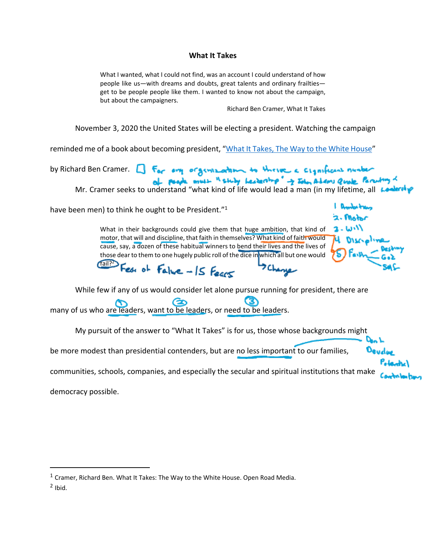## **What It Takes**

What I wanted, what I could not find, was an account I could understand of how people like us—with dreams and doubts, great talents and ordinary frailties get to be people people like them. I wanted to know not about the campaign, but about the campaigners.

Richard Ben Cramer, What It Takes

November 3, 2020 the United States will be electing a president. Watching the campaign

reminded me of a book about becoming president, "[What It Takes, The Way to the White House"](https://www.amazon.com/dp/B005EXHAVK/ref=dp-kindle-redirect?_encoding=UTF8&btkr=1)

by Richard Ben Cramer.  $\Box$  For any organization to these a significant number of people must in study heckership" -> Iden Address Quale Percuring of

Mr. Cramer seeks to understand "what kind of life would lead a man (in my lifetime, all

have been men) to think he ought to be President."<sup>1</sup>

Don L Devdo

What in their backgrounds could give them that huge ambition, that kind of motor, that will and discipline, that faith in themselves? What kind of faith would cause, say, a dozen of these habitual winners to bend their lives and the lives of those dear to them to one hugely public roll of the dice in which all but one would

fail?<sup>2</sup> Fest of Falue - IS Fears

While few if any of us would consider let alone pursue running for president, there are

ඏ m many of us who are leaders, want to be leaders, or need to be leaders.

My pursuit of the answer to "What It Takes" is for us, those whose backgrounds might

be more modest than presidential contenders, but are no less important to our families,

communities, schools, companies, and especially the secular and spiritual institutions that make

democracy possible.

 $2$  Ibid.

 $1$  Cramer, Richard Ben. What It Takes: The Way to the White House. Open Road Media.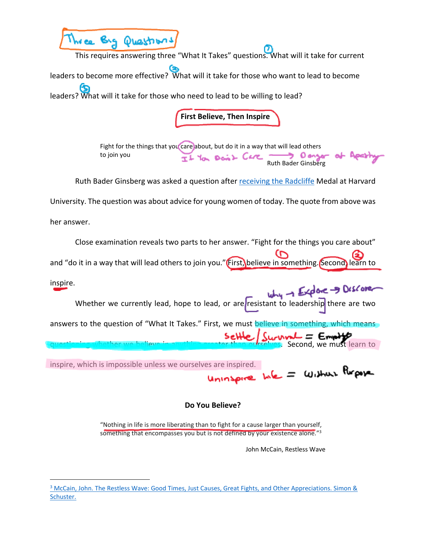

This requires answering three "What It Takes" questions. What will it take for current leaders to become more effective? What will it take for those who want to lead to become leaders? What will it take for those who need to lead to be willing to lead?

**First Believe, Then Inspire**

Fight for the things that you care about, but do it in a way that will lead others to join you  $TL$  You Doint Care  $\longrightarrow$  O anger of Apathy Ruth Bader Ginsberg was asked a question after [receiving the Radcliffe](https://www.youtube.com/watch?v=_GzhWFhOJV4) Medal at Harvard

University. The question was about advice for young women of today. The quote from above was

her answer.

Close examination reveals two parts to her answer. "Fight for the things you care about"

and "do it in a way that will lead others to join you." First, believe in something. Second, learn to

inspire. Whether we currently lead, hope to lead, or are resistant to leadership there are two answers to the question of "What It Takes." First, we must believe in something, which means  $\int_{\text{reduces. Second, we must learn to } \mathcal{E}}$ 

inspire, which is impossible unless we ourselves are inspired.<br>
Unto Serve Me = Without Report

## **Do You Believe?**

"Nothing in life is more liberating than to fight for a cause larger than yourself, something that encompasses you but is not defined by your existence alone."<sup>3</sup>

John McCain, Restless Wave

<sup>&</sup>lt;sup>3</sup> McCain, John. The Restless Wave: Good Times, Just Causes, Great Fights, and Other Appreciations. Simon & [Schuster.](https://www.amazon.com/Restless-Wave-Causes-Fights-Appreciations/dp/1501178008)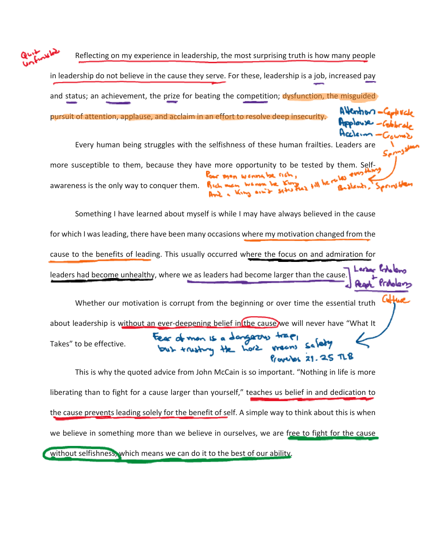Reflecting on my experience in leadership, the most surprising truth is how many people in leadership do not believe in the cause they serve. For these, leadership is a job, increased pay and status; an achievement, the prize for beating the competition; dysfunction, the misguided pursuit of attention, applause, and acclaim in an effort to resolve deep insecurity. Every human being struggles with the selfishness of these human frailties. Leaders are more susceptible to them, because they have more opportunity to be tested by them. Selfour man wennelse nen, awareness is the only way to conquer them.  $\mathbb{R}$  id. we have be the  $\mathbb{R}$ but a King on to s Something I have learned about myself is while I may have always believed in the cause for which I was leading, there have been many occasions where my motivation changed from the cause to the benefits of leading. This usually occurred where the focus on and admiration for leaders had become unhealthy, where we as leaders had become larger than the cause. Whether our motivation is corrupt from the beginning or over time the essential truth about leadership is without an ever-deepening belief in the cause we will never have "What It Fear of mon is a dangerous<br>but trusting the hore Takes" to be effective.  $row$   $\alpha$  21.25  $\pi$ 8 This is why the quoted advice from John McCain is so important. "Nothing in life is more liberating than to fight for a cause larger than yourself," teaches us belief in and dedication to

the cause prevents leading solely for the benefit of self. A simple way to think about this is when we believe in something more than we believe in ourselves, we are free to fight for the cause

without selfishness, which means we can do it to the best of our ability.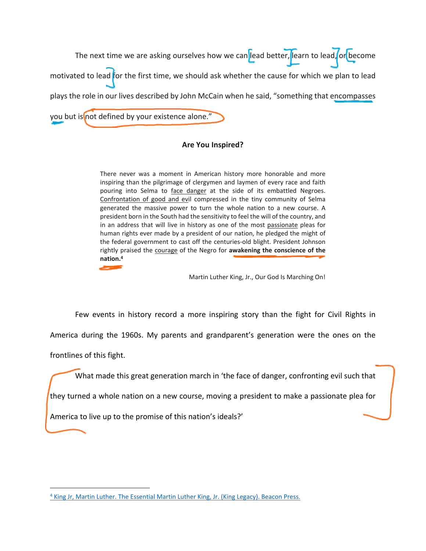The next time we are asking ourselves how we can lead better, learn to lead, or become motivated to lead for the first time, we should ask whether the cause for which we plan to lead plays the role in our lives described by John McCain when he said, "something that encompasses you but is not defined by your existence alone. $\overline{N}$ 

## **Are You Inspired?**

There never was a moment in American history more honorable and more inspiring than the pilgrimage of clergymen and laymen of every race and faith pouring into Selma to face danger at the side of its embattled Negroes. Confrontation of good and evil compressed in the tiny community of Selma generated the massive power to turn the whole nation to a new course. A president born in the South had the sensitivity to feel the will of the country, and in an address that will live in history as one of the most passionate pleas for human rights ever made by a president of our nation, he pledged the might of the federal government to cast off the centuries-old blight. President Johnson rightly praised the courage of the Negro for **awakening the conscience of the nation.<sup>4</sup>**

Martin Luther King, Jr., Our God Is Marching On!

Few events in history record a more inspiring story than the fight for Civil Rights in

America during the 1960s. My parents and grandparent's generation were the ones on the

frontlines of this fight.

What made this great generation march in 'the face of danger, confronting evil such that

they turned a whole nation on a new course, moving a president to make a passionate plea for

America to live up to the promise of this nation's ideals?'

<sup>&</sup>lt;sup>4</sup> [King Jr, Martin Luther. The Essential Martin Luther King, Jr. \(King Legacy\). Beacon Press.](https://www.amazon.com/Essential-Martin-Luther-King-Jr-ebook/dp/B00DK6ZG32)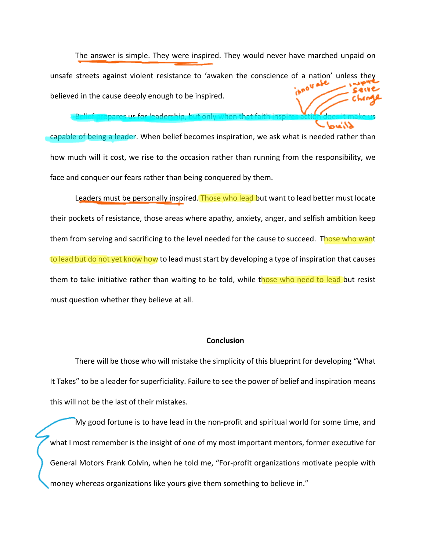The answer is simple. They were inspired. They would never have marched unpaid on unsafe streets against violent resistance to 'awaken the conscience of a nation' unless the believed in the cause deeply enough to be inspired.

bares us for leadership, but only when that

capable of being a leader. When belief becomes inspiration, we ask what is needed rather than how much will it cost, we rise to the occasion rather than running from the responsibility, we face and conquer our fears rather than being conquered by them.

Leaders must be personally inspired. Those who lead but want to lead better must locate their pockets of resistance, those areas where apathy, anxiety, anger, and selfish ambition keep them from serving and sacrificing to the level needed for the cause to succeed. Those who want to lead but do not yet know how to lead must start by developing a type of inspiration that causes them to take initiative rather than waiting to be told, while those who need to lead but resist must question whether they believe at all.

## **Conclusion**

There will be those who will mistake the simplicity of this blueprint for developing "What It Takes" to be a leader for superficiality. Failure to see the power of belief and inspiration means this will not be the last of their mistakes.

My good fortune is to have lead in the non-profit and spiritual world for some time, and what I most remember is the insight of one of my most important mentors, former executive for General Motors Frank Colvin, when he told me, "For-profit organizations motivate people with money whereas organizations like yours give them something to believe in."